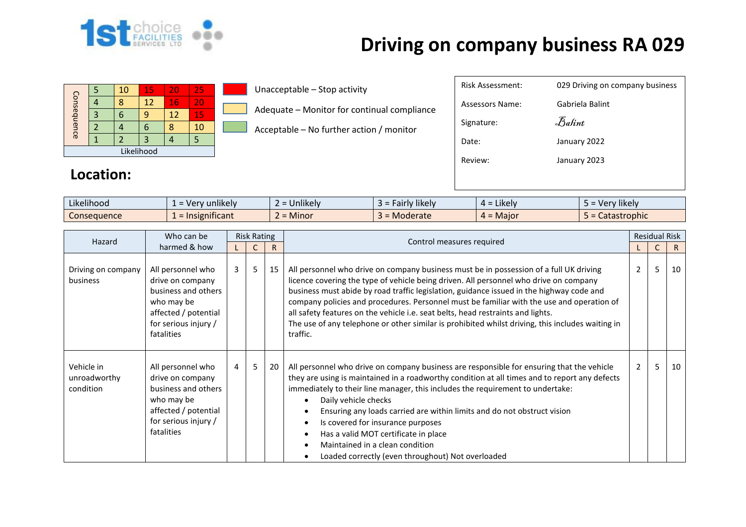

## **Driving on company business RA 029**

| Consequence |  | 10 | 15 | 20 | 25 |  |  |
|-------------|--|----|----|----|----|--|--|
|             |  |    | 12 | 16 | 20 |  |  |
|             |  |    | q  | 12 | 15 |  |  |
|             |  |    | n  |    | 10 |  |  |
|             |  |    | З  |    |    |  |  |
| Likelihood  |  |    |    |    |    |  |  |

Unacceptable – Stop activity

Adequate – Monitor for continual compliance

Acceptable – No further action / monitor

| <b>Risk Assessment:</b> | 029 Driving on company business |
|-------------------------|---------------------------------|
| Assessors Name:         | Gabriela Balint                 |
| Signature:              | Balint                          |
| Date:                   | January 2022                    |
| Review:                 | January 2023                    |
|                         |                                 |

## **Location:**

| $\cdots$<br>$\cdots$<br>Likelihood | unlikely<br>$-$ Ver | $\cdots$<br>Unlikely | $\cdots$<br><b>Hairly likely</b> | $\cdot$ .<br>Likely<br>$\Delta =$ | $\cdots$<br>Very likely |
|------------------------------------|---------------------|----------------------|----------------------------------|-----------------------------------|-------------------------|
| Consequence                        | .<br>Insignificant  | Minor                | Moderate                         | - Maior<br>$4 =$                  | stastrophic<br>calasl   |

| Hazard                                  | Who can be                                                                                                                               | <b>Risk Rating</b> |   |    | Control measures required                                                                                                                                                                                                                                                                                                                                                                                                                                                                                                                                                   | <b>Residual Risk</b> |   |    |
|-----------------------------------------|------------------------------------------------------------------------------------------------------------------------------------------|--------------------|---|----|-----------------------------------------------------------------------------------------------------------------------------------------------------------------------------------------------------------------------------------------------------------------------------------------------------------------------------------------------------------------------------------------------------------------------------------------------------------------------------------------------------------------------------------------------------------------------------|----------------------|---|----|
|                                         | harmed & how                                                                                                                             |                    |   | R  |                                                                                                                                                                                                                                                                                                                                                                                                                                                                                                                                                                             |                      |   | R. |
| Driving on company<br>business          | All personnel who<br>drive on company<br>business and others<br>who may be<br>affected / potential<br>for serious injury /<br>fatalities | $\overline{3}$     | 5 | 15 | All personnel who drive on company business must be in possession of a full UK driving<br>licence covering the type of vehicle being driven. All personnel who drive on company<br>business must abide by road traffic legislation, guidance issued in the highway code and<br>company policies and procedures. Personnel must be familiar with the use and operation of<br>all safety features on the vehicle i.e. seat belts, head restraints and lights.<br>The use of any telephone or other similar is prohibited whilst driving, this includes waiting in<br>traffic. | $\mathbf{2}$         | 5 | 10 |
| Vehicle in<br>unroadworthy<br>condition | All personnel who<br>drive on company<br>business and others<br>who may be<br>affected / potential<br>for serious injury /<br>fatalities | $\overline{4}$     | 5 | 20 | All personnel who drive on company business are responsible for ensuring that the vehicle<br>they are using is maintained in a roadworthy condition at all times and to report any defects<br>immediately to their line manager, this includes the requirement to undertake:<br>Daily vehicle checks<br>Ensuring any loads carried are within limits and do not obstruct vision<br>Is covered for insurance purposes<br>Has a valid MOT certificate in place<br>Maintained in a clean condition<br>Loaded correctly (even throughout) Not overloaded                        | $\overline{2}$       | 5 | 10 |